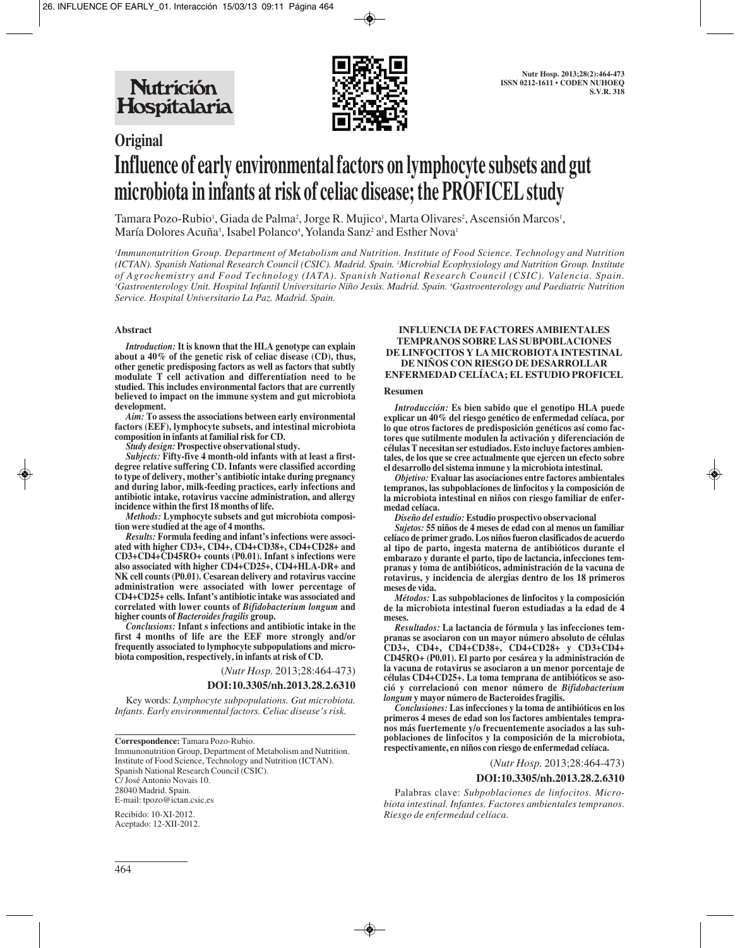

# **Original Influence of early environmental factors on lymphocyte subsets and gut microbiota in infants at risk of celiac disease; the PROFICEL study**

Tamara Pozo-Rubio<sup>1</sup>, Giada de Palma<sup>2</sup>, Jorge R. Mujico<sup>1</sup>, Marta Olivares<sup>2</sup>, Ascensión Marcos<sup>1</sup>, María Dolores Acuña<sup>3</sup>, Isabel Polanco<sup>4</sup>, Yolanda Sanz<sup>2</sup> and Esther Nova<sup>1</sup>

*1 Immunonutrition Group. Department of Metabolism and Nutrition. Institute of Food Science. Technology and Nutrition (ICTAN). Spanish National Research Council (CSIC). Madrid. Spain. 2 Microbial Ecophysiology and Nutrition Group. Institute of Agrochemistry and Food Technology (IATA). Spanish National Research Council (CSIC). Valencia. Spain.* <sup>3</sup>Gastroenterology Unit. Hospital Infantil Universitario Niño Jesús. Madrid. Spain. <sup>4</sup>Gastroenterology and Paediatric Nutrition *Service. Hospital Universitario La Paz. Madrid. Spain.*

#### **Abstract**

*Introduction:* **It is known that the HLA genotype can explain about a 40% of the genetic risk of celiac disease (CD), thus, other genetic predisposing factors as well as factors that subtly modulate T cell activation and differentiation need to be studied. This includes environmental factors that are currently believed to impact on the immune system and gut microbiota development.**

*Aim:* **To assess the associations between early environmental factors (EEF), lymphocyte subsets, and intestinal microbiota composition in infants at familial risk for CD.**

*Study design:* **Prospective observational study.**

*Subjects:* **Fifty-five 4 month-old infants with at least a firstdegree relative suffering CD. Infants were classified according to type of delivery, mother's antibiotic intake during pregnancy and during labor, milk-feeding practices, early infections and antibiotic intake, rotavirus vaccine administration, and allergy incidence within the first 18 months of life.** 

*Methods:* **Lymphocyte subsets and gut microbiota composition were studied at the age of 4 months.** 

*Results:* **Formula feeding and infant's infections were associated with higher CD3+, CD4+, CD4+CD38+, CD4+CD28+ and CD3+CD4+CD45RO+ counts (P0.01). Infant s infections were also associated with higher CD4+CD25+, CD4+HLA-DR+ and NK cell counts (P0.01). Cesarean delivery and rotavirus vaccine administration were associated with lower percentage of CD4+CD25+ cells. Infant's antibiotic intake was associated and correlated with lower counts of** *Bifidobacterium longum* **and higher counts of** *Bacteroides fragilis* **group.** 

*Conclusions:* **Infant s infections and antibiotic intake in the first 4 months of life are the EEF more strongly and/or frequently associated to lymphocyte subpopulations and microbiota composition, respectively, in infants at risk of CD.**

(*Nutr Hosp.* 2013;28:464-473)

#### **DOI:10.3305/nh.2013.28.2.6310**

Key words: *Lymphocyte subpopulations. Gut microbiota. Infants. Early environmental factors. Celiac disease's risk.*

**Correspondence:** Tamara Pozo-Rubio.

Immunonutrition Group, Department of Metabolism and Nutrition. Institute of Food Science, Technology and Nutrition (ICTAN). Spanish National Research Council (CSIC). C/ José Antonio Novais 10. 28040 Madrid. Spain. E-mail: tpozo@ictan.csic.es

Recibido: 10-XI-2012. Aceptado: 12-XII-2012.

#### **INFLUENCIA DE FACTORES AMBIENTALES TEMPRANOS SOBRE LAS SUBPOBLACIONES DE LINFOCITOS Y LA MICROBIOTA INTESTINAL DE NIÑOS CON RIESGO DE DESARROLLAR ENFERMEDAD CELÍACA; EL ESTUDIO PROFICEL**

#### **Resumen**

*Introducción:* **Es bien sabido que el genotipo HLA puede explicar un 40% del riesgo genético de enfermedad celíaca, por lo que otros factores de predisposición genéticos así como factores que sutilmente modulen la activación y diferenciación de células T necesitan ser estudiados. Esto incluye factores ambientales, de los que se cree actualmente que ejercen un efecto sobre el desarrollo del sistema inmune y la microbiota intestinal.**

*Objetivo:* **Evaluar las asociaciones entre factores ambientales tempranos, las subpoblaciones de linfocitos y la composición de la microbiota intestinal en niños con riesgo familiar de enfermedad celíaca.** 

*Diseño del estudio:* **Estudio prospectivo observacional**

*Sujetos:* **55 niños de 4 meses de edad con al menos un familiar celíaco de primer grado. Los niños fueron clasificados de acuerdo al tipo de parto, ingesta materna de antibióticos durante el embarazo y durante el parto, tipo de lactancia, infecciones tempranas y toma de antibióticos, administración de la vacuna de rotavirus, y incidencia de alergias dentro de los 18 primeros meses de vida.** 

*Métodos:* **Las subpoblaciones de linfocitos y la composición de la microbiota intestinal fueron estudiadas a la edad de 4 meses.** 

*Resultados:* **La lactancia de fórmula y las infecciones tempranas se asociaron con un mayor número absoluto de células CD3+, CD4+, CD4+CD38+, CD4+CD28+ y CD3+CD4+ CD45RO+ (P0.01). El parto por cesárea y la administración de la vacuna de rotavirus se asociaron a un menor porcentaje de células CD4+CD25+. La toma temprana de antibióticos se asoció y correlacionó con menor número de** *Bifidobacterium longum* **y mayor número de Bacteroides fragilis.**

*Conclusiones:* **Las infecciones y la toma de antibióticos en los primeros 4 meses de edad son los factores ambientales tempranos más fuertemente y/o frecuentemente asociados a las subpoblaciones de linfocitos y la composición de la microbiota, respectivamente, en niños con riesgo de enfermedad celíaca.**

(*Nutr Hosp.* 2013;28:464-473)

#### **DOI:10.3305/nh.2013.28.2.6310**

Palabras clave: *Subpoblaciones de linfocitos. Microbiota intestinal. Infantes. Factores ambientales tempranos. Riesgo de enfermedad celíaca.*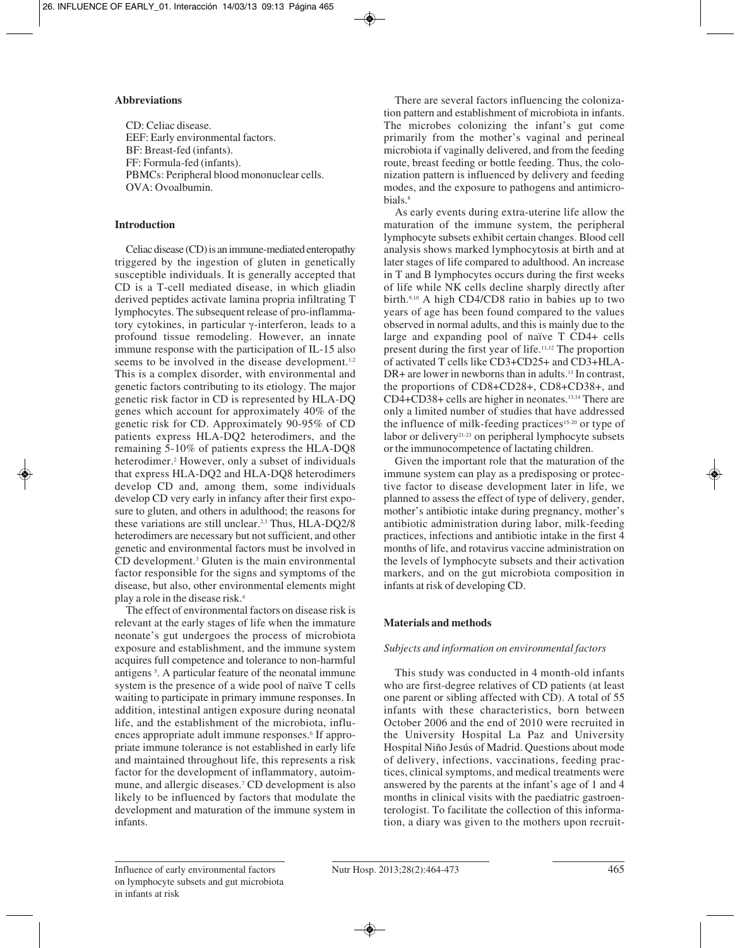### **Abbreviations**

CD: Celiac disease. EEF: Early environmental factors. BF: Breast-fed (infants). FF: Formula-fed (infants). PBMCs: Peripheral blood mononuclear cells. OVA: Ovoalbumin.

## **Introduction**

Celiac disease (CD) is an immune-mediated enteropathy triggered by the ingestion of gluten in genetically susceptible individuals. It is generally accepted that CD is a T-cell mediated disease, in which gliadin derived peptides activate lamina propria infiltrating T lymphocytes. The subsequent release of pro-inflammatory cytokines, in particular γ-interferon, leads to a profound tissue remodeling. However, an innate immune response with the participation of IL-15 also seems to be involved in the disease development.<sup>1,2</sup> This is a complex disorder, with environmental and genetic factors contributing to its etiology. The major genetic risk factor in CD is represented by HLA-DQ genes which account for approximately 40% of the genetic risk for CD. Approximately 90-95% of CD patients express HLA-DQ2 heterodimers, and the remaining 5-10% of patients express the HLA-DQ8 heterodimer.<sup>2</sup> However, only a subset of individuals that express HLA-DQ2 and HLA-DQ8 heterodimers develop CD and, among them, some individuals develop CD very early in infancy after their first exposure to gluten, and others in adulthood; the reasons for these variations are still unclear.2,3 Thus, HLA-DQ2/8 heterodimers are necessary but not sufficient, and other genetic and environmental factors must be involved in CD development.3 Gluten is the main environmental factor responsible for the signs and symptoms of the disease, but also, other environmental elements might play a role in the disease risk.4

The effect of environmental factors on disease risk is relevant at the early stages of life when the immature neonate's gut undergoes the process of microbiota exposure and establishment, and the immune system acquires full competence and tolerance to non-harmful antigens 5 . A particular feature of the neonatal immune system is the presence of a wide pool of naïve T cells waiting to participate in primary immune responses. In addition, intestinal antigen exposure during neonatal life, and the establishment of the microbiota, influences appropriate adult immune responses.<sup>6</sup> If appropriate immune tolerance is not established in early life and maintained throughout life, this represents a risk factor for the development of inflammatory, autoimmune, and allergic diseases.7 CD development is also likely to be influenced by factors that modulate the development and maturation of the immune system in infants.

There are several factors influencing the colonization pattern and establishment of microbiota in infants. The microbes colonizing the infant's gut come primarily from the mother's vaginal and perineal microbiota if vaginally delivered, and from the feeding route, breast feeding or bottle feeding. Thus, the colonization pattern is influenced by delivery and feeding modes, and the exposure to pathogens and antimicrobials.<sup>8</sup>

As early events during extra-uterine life allow the maturation of the immune system, the peripheral lymphocyte subsets exhibit certain changes. Blood cell analysis shows marked lymphocytosis at birth and at later stages of life compared to adulthood. An increase in T and B lymphocytes occurs during the first weeks of life while NK cells decline sharply directly after birth.9,10 A high CD4/CD8 ratio in babies up to two years of age has been found compared to the values observed in normal adults, and this is mainly due to the large and expanding pool of naïve T CD4+ cells present during the first year of life.11,12 The proportion of activated T cells like CD3+CD25+ and CD3+HLA- $DR+$  are lower in newborns than in adults.<sup>13</sup> In contrast, the proportions of CD8+CD28+, CD8+CD38+, and CD4+CD38+ cells are higher in neonates.13,14 There are only a limited number of studies that have addressed the influence of milk-feeding practices<sup>15-20</sup> or type of labor or delivery<sup>21-23</sup> on peripheral lymphocyte subsets or the immunocompetence of lactating children.

Given the important role that the maturation of the immune system can play as a predisposing or protective factor to disease development later in life, we planned to assess the effect of type of delivery, gender, mother's antibiotic intake during pregnancy, mother's antibiotic administration during labor, milk-feeding practices, infections and antibiotic intake in the first 4 months of life, and rotavirus vaccine administration on the levels of lymphocyte subsets and their activation markers, and on the gut microbiota composition in infants at risk of developing CD.

# **Materials and methods**

#### *Subjects and information on environmental factors*

This study was conducted in 4 month-old infants who are first-degree relatives of CD patients (at least one parent or sibling affected with CD). A total of 55 infants with these characteristics, born between October 2006 and the end of 2010 were recruited in the University Hospital La Paz and University Hospital Niño Jesús of Madrid. Questions about mode of delivery, infections, vaccinations, feeding practices, clinical symptoms, and medical treatments were answered by the parents at the infant's age of 1 and 4 months in clinical visits with the paediatric gastroenterologist. To facilitate the collection of this information, a diary was given to the mothers upon recruit-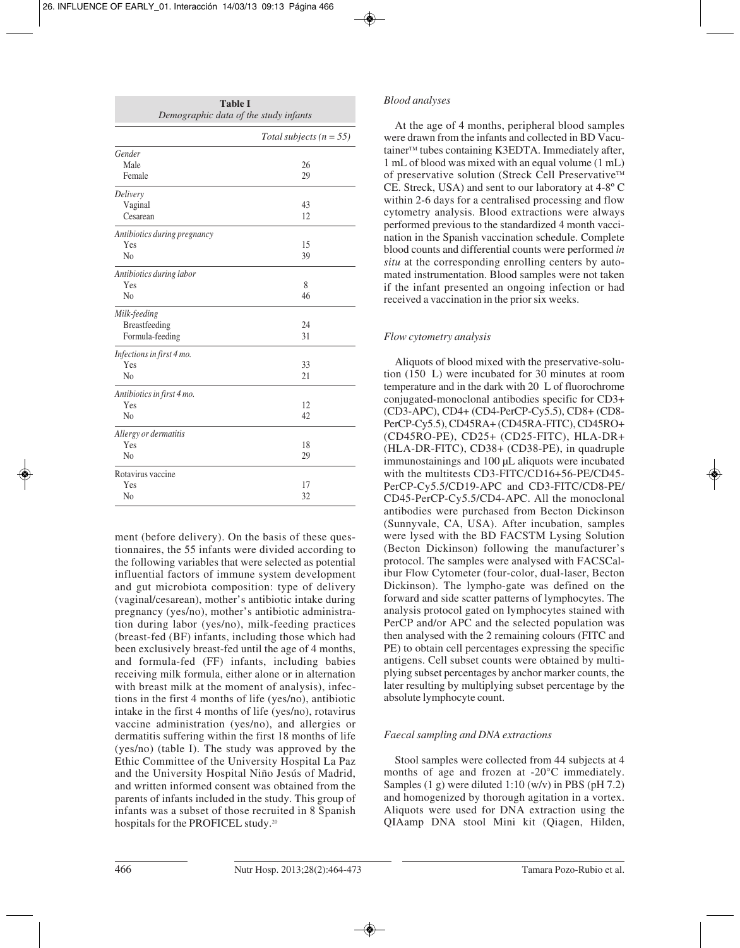| <b>Table I</b><br>Demographic data of the study infants |                             |  |  |  |  |
|---------------------------------------------------------|-----------------------------|--|--|--|--|
|                                                         | Total subjects ( $n = 55$ ) |  |  |  |  |
| Gender                                                  |                             |  |  |  |  |
| Male                                                    | 26                          |  |  |  |  |
| Female                                                  | 29                          |  |  |  |  |
| Delivery                                                |                             |  |  |  |  |
| Vaginal                                                 | 43                          |  |  |  |  |
| Cesarean                                                | 12                          |  |  |  |  |
| Antibiotics during pregnancy                            |                             |  |  |  |  |
| Yes                                                     | 15                          |  |  |  |  |
| N <sub>0</sub>                                          | 39                          |  |  |  |  |
| Antibiotics during labor                                |                             |  |  |  |  |
| Yes                                                     | 8                           |  |  |  |  |
| N <sub>0</sub>                                          | 46                          |  |  |  |  |
| Milk-feeding                                            |                             |  |  |  |  |
| Breastfeeding                                           | 24                          |  |  |  |  |
| Formula-feeding                                         | 31                          |  |  |  |  |
| Infections in first 4 mo.                               |                             |  |  |  |  |
| Yes                                                     | 33                          |  |  |  |  |
| No                                                      | 21                          |  |  |  |  |
| Antibiotics in first 4 mo.                              |                             |  |  |  |  |
| Yes                                                     | 12                          |  |  |  |  |
| N <sub>0</sub>                                          | 42                          |  |  |  |  |
| Allergy or dermatitis                                   |                             |  |  |  |  |
| Yes                                                     | 18                          |  |  |  |  |
| No                                                      | 29                          |  |  |  |  |
| Rotavirus vaccine                                       |                             |  |  |  |  |
| Yes                                                     | 17                          |  |  |  |  |
| No                                                      | 32                          |  |  |  |  |

ment (before delivery). On the basis of these questionnaires, the 55 infants were divided according to the following variables that were selected as potential influential factors of immune system development and gut microbiota composition: type of delivery (vaginal/cesarean), mother's antibiotic intake during pregnancy (yes/no), mother's antibiotic administration during labor (yes/no), milk-feeding practices (breast-fed (BF) infants, including those which had been exclusively breast-fed until the age of 4 months, and formula-fed (FF) infants, including babies receiving milk formula, either alone or in alternation with breast milk at the moment of analysis), infections in the first 4 months of life (yes/no), antibiotic intake in the first 4 months of life (yes/no), rotavirus vaccine administration (yes/no), and allergies or dermatitis suffering within the first 18 months of life (yes/no) (table I). The study was approved by the Ethic Committee of the University Hospital La Paz and the University Hospital Niño Jesús of Madrid, and written informed consent was obtained from the parents of infants included in the study. This group of infants was a subset of those recruited in 8 Spanish hospitals for the PROFICEL study.20

### *Blood analyses*

At the age of 4 months, peripheral blood samples were drawn from the infants and collected in BD Vacutainer<sup>™</sup> tubes containing K3EDTA. Immediately after, 1 mL of blood was mixed with an equal volume (1 mL) of preservative solution (Streck Cell Preservative™ CE. Streck, USA) and sent to our laboratory at 4-8º C within 2-6 days for a centralised processing and flow cytometry analysis. Blood extractions were always performed previous to the standardized 4 month vaccination in the Spanish vaccination schedule. Complete blood counts and differential counts were performed *in situ* at the corresponding enrolling centers by automated instrumentation. Blood samples were not taken if the infant presented an ongoing infection or had received a vaccination in the prior six weeks.

### *Flow cytometry analysis*

Aliquots of blood mixed with the preservative-solution (150 L) were incubated for 30 minutes at room temperature and in the dark with 20 L of fluorochrome conjugated-monoclonal antibodies specific for CD3+ (CD3-APC), CD4+ (CD4-PerCP-Cy5.5), CD8+ (CD8- PerCP-Cy5.5), CD45RA+ (CD45RA-FITC), CD45RO+ (CD45RO-PE), CD25+ (CD25-FITC), HLA-DR+ (HLA-DR-FITC), CD38+ (CD38-PE), in quadruple immunostainings and 100 µL aliquots were incubated with the multitests CD3-FITC/CD16+56-PE/CD45-PerCP-Cy5.5/CD19-APC and CD3-FITC/CD8-PE/ CD45-PerCP-Cy5.5/CD4-APC. All the monoclonal antibodies were purchased from Becton Dickinson (Sunnyvale, CA, USA). After incubation, samples were lysed with the BD FACSTM Lysing Solution (Becton Dickinson) following the manufacturer's protocol. The samples were analysed with FACSCalibur Flow Cytometer (four-color, dual-laser, Becton Dickinson). The lympho-gate was defined on the forward and side scatter patterns of lymphocytes. The analysis protocol gated on lymphocytes stained with PerCP and/or APC and the selected population was then analysed with the 2 remaining colours (FITC and PE) to obtain cell percentages expressing the specific antigens. Cell subset counts were obtained by multiplying subset percentages by anchor marker counts, the later resulting by multiplying subset percentage by the absolute lymphocyte count.

# *Faecal sampling and DNA extractions*

Stool samples were collected from 44 subjects at 4 months of age and frozen at -20°C immediately. Samples  $(1 \text{ g})$  were diluted  $1:10 \text{ (w/v)}$  in PBS (pH 7.2) and homogenized by thorough agitation in a vortex. Aliquots were used for DNA extraction using the QIAamp DNA stool Mini kit (Qiagen, Hilden,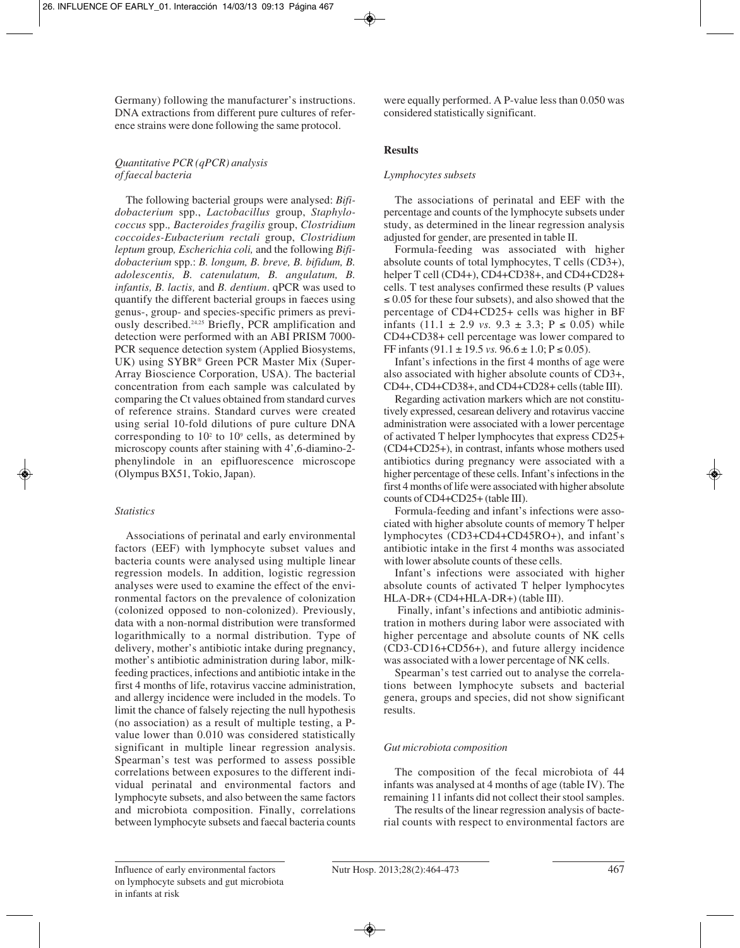Germany) following the manufacturer's instructions. DNA extractions from different pure cultures of reference strains were done following the same protocol.

### *Quantitative PCR (qPCR) analysis of faecal bacteria*

The following bacterial groups were analysed: *Bifidobacterium* spp., *Lactobacillus* group, *Staphylococcus* spp.*, Bacteroides fragilis* group, *Clostridium coccoides-Eubacterium rectali* group, *Clostridium leptum* group*, Escherichia coli,* and the following *Bifidobacterium* spp.: *B. longum, B. breve, B. bifidum, B. adolescentis, B. catenulatum, B. angulatum, B. infantis, B. lactis,* and *B. dentium*. qPCR was used to quantify the different bacterial groups in faeces using genus-, group- and species-specific primers as previously described.24,25 Briefly, PCR amplification and detection were performed with an ABI PRISM 7000- PCR sequence detection system (Applied Biosystems, UK) using SYBR® Green PCR Master Mix (Super-Array Bioscience Corporation, USA). The bacterial concentration from each sample was calculated by comparing the Ct values obtained from standard curves of reference strains. Standard curves were created using serial 10-fold dilutions of pure culture DNA corresponding to  $10<sup>2</sup>$  to  $10<sup>9</sup>$  cells, as determined by microscopy counts after staining with 4',6-diamino-2 phenylindole in an epifluorescence microscope (Olympus BX51, Tokio, Japan).

# *Statistics*

Associations of perinatal and early environmental factors (EEF) with lymphocyte subset values and bacteria counts were analysed using multiple linear regression models. In addition, logistic regression analyses were used to examine the effect of the environmental factors on the prevalence of colonization (colonized opposed to non-colonized). Previously, data with a non-normal distribution were transformed logarithmically to a normal distribution. Type of delivery, mother's antibiotic intake during pregnancy, mother's antibiotic administration during labor, milkfeeding practices, infections and antibiotic intake in the first 4 months of life, rotavirus vaccine administration, and allergy incidence were included in the models. To limit the chance of falsely rejecting the null hypothesis (no association) as a result of multiple testing, a Pvalue lower than 0.010 was considered statistically significant in multiple linear regression analysis. Spearman's test was performed to assess possible correlations between exposures to the different individual perinatal and environmental factors and lymphocyte subsets, and also between the same factors and microbiota composition. Finally, correlations between lymphocyte subsets and faecal bacteria counts

were equally performed. A P-value less than 0.050 was considered statistically significant.

# **Results**

### *Lymphocytes subsets*

The associations of perinatal and EEF with the percentage and counts of the lymphocyte subsets under study, as determined in the linear regression analysis adjusted for gender, are presented in table II.

Formula-feeding was associated with higher absolute counts of total lymphocytes, T cells (CD3+), helper T cell (CD4+), CD4+CD38+, and CD4+CD28+ cells. T test analyses confirmed these results (P values  $\leq 0.05$  for these four subsets), and also showed that the percentage of CD4+CD25+ cells was higher in BF infants  $(11.1 \pm 2.9 \text{ vs. } 9.3 \pm 3.3; \text{ P} \le 0.05)$  while CD4+CD38+ cell percentage was lower compared to FF infants  $(91.1 \pm 19.5 \text{ vs. } 96.6 \pm 1.0; P \le 0.05)$ .

Infant's infections in the first 4 months of age were also associated with higher absolute counts of CD3+, CD4+, CD4+CD38+, and CD4+CD28+ cells (table III).

Regarding activation markers which are not constitutively expressed, cesarean delivery and rotavirus vaccine administration were associated with a lower percentage of activated T helper lymphocytes that express CD25+ (CD4+CD25+), in contrast, infants whose mothers used antibiotics during pregnancy were associated with a higher percentage of these cells. Infant's infections in the first 4 months of life were associated with higher absolute counts of CD4+CD25+ (table III).

Formula-feeding and infant's infections were associated with higher absolute counts of memory T helper lymphocytes (CD3+CD4+CD45RO+), and infant's antibiotic intake in the first 4 months was associated with lower absolute counts of these cells.

Infant's infections were associated with higher absolute counts of activated T helper lymphocytes HLA-DR+ (CD4+HLA-DR+) (table III).

Finally, infant's infections and antibiotic administration in mothers during labor were associated with higher percentage and absolute counts of NK cells (CD3-CD16+CD56+), and future allergy incidence was associated with a lower percentage of NK cells.

Spearman's test carried out to analyse the correlations between lymphocyte subsets and bacterial genera, groups and species, did not show significant results.

# *Gut microbiota composition*

The composition of the fecal microbiota of 44 infants was analysed at 4 months of age (table IV). The remaining 11 infants did not collect their stool samples.

The results of the linear regression analysis of bacterial counts with respect to environmental factors are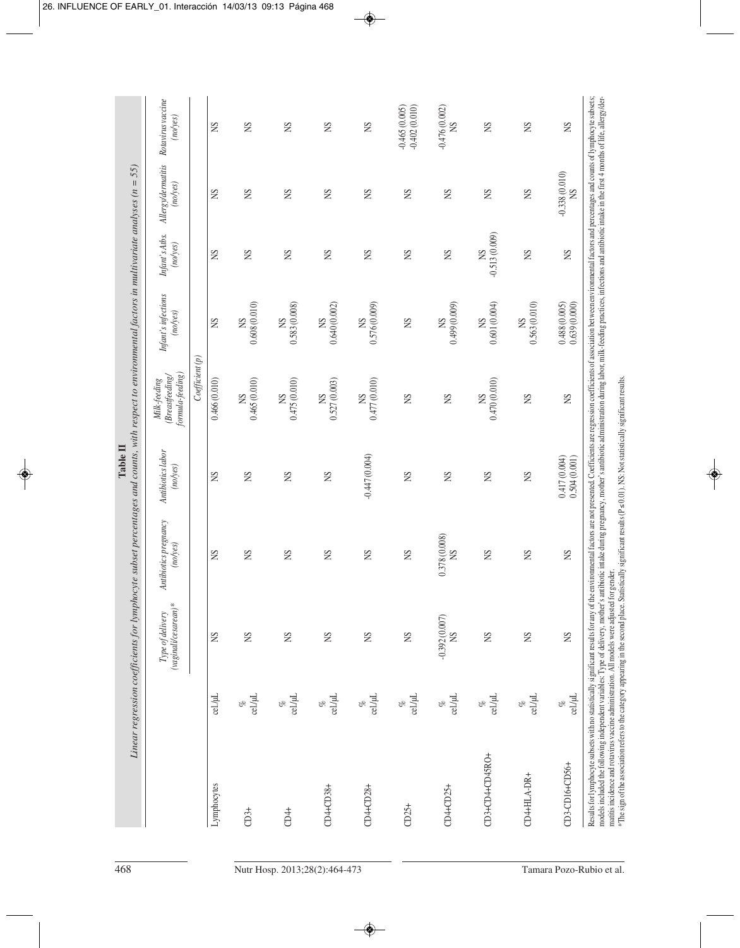| $-0.513(0.009)$<br>Infant's Atbs.<br>(noyes)<br><b>NS</b><br>SN<br>SN<br>SN<br>SN<br>SN<br>SN<br>SN<br>SN<br>Infant's infections<br>0.608(0.010)<br>0.601(0.004)<br>0.583 (0.008)<br>0.576(0.009)<br>(0.009)<br>0.563(0.010)<br>0.640(0.002)<br>0.488(0.005)<br>(noyes)<br><b>SS</b><br>SN<br>SN<br>$\mathbb{S}$<br>SN<br>$\mathbb{S}$<br><b>S</b><br>S<br>SN<br>$C$ oefficient $(p)$<br>formula-feeding)<br>Breastfeeding/<br>0.465(0.010)<br>$(0.010)$ $574$<br>0.477 (0.010)<br>0.470 (0.010)<br>Milk-feeding<br>$\frac{\text{NS}}{0.527(0.003)}$<br>0.466(0.010)<br>SN<br>SN<br>SN<br>SN<br>SN<br>SN<br>SN<br>Antibiotics labor<br>$-0.447(0.004)$<br>0.417(0.004)<br>(noyes)<br>SN<br>$\mathbb{S}$<br>SN<br>SN<br>SN<br>SN<br>SN<br>SN<br>Antibiotics pregnancy<br>0.378 (0.008)<br>(no(y)<br>SN<br>SN<br>SN<br>SN<br>SN<br>SN<br>SN<br>SN<br>(vaginali/cesarean)*<br>Type of delivery<br>$-0.392(0.007)$<br>S <sub>N</sub><br>SN<br>SN<br>SN<br>SN<br>SN<br>SN<br>SN<br>SN<br>cel./µL<br>cel./µL<br>$\frac{\%}{\%}$ cel./µL<br>$\frac{\%}{\%}$ cel./µL<br>$_{\rm cell/HL}^{\%}$<br>cel./µL<br>cel./µL<br>$_{\rm cell/HL}^{\%}$<br>$\frac{\%}{\%}$ cel./µL<br>olo<br>ofo<br>of<br>of<br>CD3+CD4+CD45RO+<br>CD4+HLA-DR+<br>Lymphocytes<br>CD4+CD25+<br>$CD4+CD38+$<br>$CD4+CD28+$<br>$CD25+$<br>CD4+<br>$CD3+$ |                |         | Linear regression coefficients for lymphocyte subset percentages and counts, with respect to environmental factors in multivariate analyses ( $n = 55$ ) |    |              |    |              |    |                                |                                    |
|--------------------------------------------------------------------------------------------------------------------------------------------------------------------------------------------------------------------------------------------------------------------------------------------------------------------------------------------------------------------------------------------------------------------------------------------------------------------------------------------------------------------------------------------------------------------------------------------------------------------------------------------------------------------------------------------------------------------------------------------------------------------------------------------------------------------------------------------------------------------------------------------------------------------------------------------------------------------------------------------------------------------------------------------------------------------------------------------------------------------------------------------------------------------------------------------------------------------------------------------------------------------------------------------------------------------|----------------|---------|----------------------------------------------------------------------------------------------------------------------------------------------------------|----|--------------|----|--------------|----|--------------------------------|------------------------------------|
|                                                                                                                                                                                                                                                                                                                                                                                                                                                                                                                                                                                                                                                                                                                                                                                                                                                                                                                                                                                                                                                                                                                                                                                                                                                                                                                    |                |         |                                                                                                                                                          |    |              |    |              |    | Allergy/dermatitis<br>(no/ves) | Rotavirus vaccine<br>(noyes)       |
|                                                                                                                                                                                                                                                                                                                                                                                                                                                                                                                                                                                                                                                                                                                                                                                                                                                                                                                                                                                                                                                                                                                                                                                                                                                                                                                    |                |         |                                                                                                                                                          |    |              |    |              |    |                                |                                    |
|                                                                                                                                                                                                                                                                                                                                                                                                                                                                                                                                                                                                                                                                                                                                                                                                                                                                                                                                                                                                                                                                                                                                                                                                                                                                                                                    |                |         |                                                                                                                                                          |    |              |    |              |    | SN                             | SN                                 |
|                                                                                                                                                                                                                                                                                                                                                                                                                                                                                                                                                                                                                                                                                                                                                                                                                                                                                                                                                                                                                                                                                                                                                                                                                                                                                                                    |                |         |                                                                                                                                                          |    |              |    |              |    | SN                             | SN                                 |
|                                                                                                                                                                                                                                                                                                                                                                                                                                                                                                                                                                                                                                                                                                                                                                                                                                                                                                                                                                                                                                                                                                                                                                                                                                                                                                                    |                |         |                                                                                                                                                          |    |              |    |              |    | SN                             | SN                                 |
|                                                                                                                                                                                                                                                                                                                                                                                                                                                                                                                                                                                                                                                                                                                                                                                                                                                                                                                                                                                                                                                                                                                                                                                                                                                                                                                    |                |         |                                                                                                                                                          |    |              |    |              |    | SN                             | SN                                 |
|                                                                                                                                                                                                                                                                                                                                                                                                                                                                                                                                                                                                                                                                                                                                                                                                                                                                                                                                                                                                                                                                                                                                                                                                                                                                                                                    |                |         |                                                                                                                                                          |    |              |    |              |    | SN                             | SN                                 |
|                                                                                                                                                                                                                                                                                                                                                                                                                                                                                                                                                                                                                                                                                                                                                                                                                                                                                                                                                                                                                                                                                                                                                                                                                                                                                                                    |                |         |                                                                                                                                                          |    |              |    |              |    | SN                             | $-0.402(0.010)$<br>$-0.465(0.005)$ |
|                                                                                                                                                                                                                                                                                                                                                                                                                                                                                                                                                                                                                                                                                                                                                                                                                                                                                                                                                                                                                                                                                                                                                                                                                                                                                                                    |                |         |                                                                                                                                                          |    |              |    |              |    | SN                             | $-0.476(0.002)$<br>SN              |
|                                                                                                                                                                                                                                                                                                                                                                                                                                                                                                                                                                                                                                                                                                                                                                                                                                                                                                                                                                                                                                                                                                                                                                                                                                                                                                                    |                |         |                                                                                                                                                          |    |              |    |              |    | SN                             | SN                                 |
|                                                                                                                                                                                                                                                                                                                                                                                                                                                                                                                                                                                                                                                                                                                                                                                                                                                                                                                                                                                                                                                                                                                                                                                                                                                                                                                    |                |         |                                                                                                                                                          |    |              |    |              |    | SN                             | SN                                 |
|                                                                                                                                                                                                                                                                                                                                                                                                                                                                                                                                                                                                                                                                                                                                                                                                                                                                                                                                                                                                                                                                                                                                                                                                                                                                                                                    | CD3-CD16+CD56+ | cel./µL | SN                                                                                                                                                       | SN | 0.504(0.001) | SN | 0.639(0.000) | SN | $-0.338(0.010)$<br>SN          | SN                                 |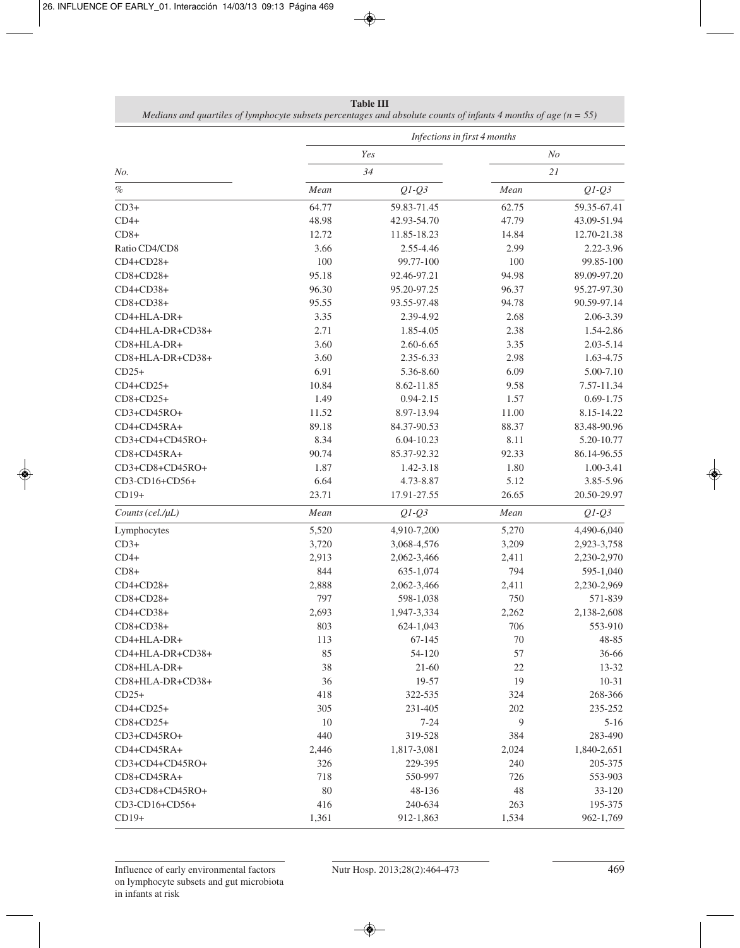|                  | Infections in first 4 months |               |        |                |  |  |  |  |  |
|------------------|------------------------------|---------------|--------|----------------|--|--|--|--|--|
|                  |                              | Yes           |        | N <sub>O</sub> |  |  |  |  |  |
| No.              |                              | 34            |        | 21             |  |  |  |  |  |
| $\%$             | Mean                         | $Q1-Q3$       | Mean   | $Q1-Q3$        |  |  |  |  |  |
| $CD3+$           | 64.77                        | 59.83-71.45   | 62.75  | 59.35-67.41    |  |  |  |  |  |
| $CD4+$           | 48.98                        | 42.93-54.70   | 47.79  | 43.09-51.94    |  |  |  |  |  |
| $CD8+$           | 12.72                        | 11.85-18.23   | 14.84  | 12.70-21.38    |  |  |  |  |  |
| Ratio CD4/CD8    | 3.66                         | 2.55-4.46     | 2.99   | 2.22-3.96      |  |  |  |  |  |
| CD4+CD28+        | 100                          | 99.77-100     | 100    | 99.85-100      |  |  |  |  |  |
| CD8+CD28+        | 95.18                        | 92.46-97.21   | 94.98  | 89.09-97.20    |  |  |  |  |  |
| CD4+CD38+        | 96.30                        | 95.20-97.25   | 96.37  | 95.27-97.30    |  |  |  |  |  |
| CD8+CD38+        | 95.55                        | 93.55-97.48   | 94.78  | 90.59-97.14    |  |  |  |  |  |
| CD4+HLA-DR+      | 3.35                         | 2.39-4.92     | 2.68   | 2.06-3.39      |  |  |  |  |  |
| CD4+HLA-DR+CD38+ | 2.71                         | 1.85-4.05     | 2.38   | 1.54-2.86      |  |  |  |  |  |
| CD8+HLA-DR+      | 3.60                         | 2.60-6.65     | 3.35   | 2.03-5.14      |  |  |  |  |  |
| CD8+HLA-DR+CD38+ | 3.60                         | 2.35-6.33     | 2.98   | 1.63-4.75      |  |  |  |  |  |
| $CD25+$          | 6.91                         | 5.36-8.60     | 6.09   | 5.00-7.10      |  |  |  |  |  |
| $CD4+CD25+$      | 10.84                        | 8.62-11.85    | 9.58   | 7.57-11.34     |  |  |  |  |  |
| CD8+CD25+        | 1.49                         | $0.94 - 2.15$ | 1.57   | $0.69 - 1.75$  |  |  |  |  |  |
| CD3+CD45RO+      | 11.52                        | 8.97-13.94    | 11.00  | 8.15-14.22     |  |  |  |  |  |
| CD4+CD45RA+      | 89.18                        | 84.37-90.53   | 88.37  | 83.48-90.96    |  |  |  |  |  |
| CD3+CD4+CD45RO+  | 8.34                         | 6.04-10.23    | 8.11   | 5.20-10.77     |  |  |  |  |  |
| CD8+CD45RA+      | 90.74                        | 85.37-92.32   | 92.33  | 86.14-96.55    |  |  |  |  |  |
| CD3+CD8+CD45RO+  | 1.87                         | 1.42-3.18     | 1.80   | 1.00-3.41      |  |  |  |  |  |
| CD3-CD16+CD56+   | 6.64                         | 4.73-8.87     | 5.12   | 3.85-5.96      |  |  |  |  |  |
| $CD19+$          | 23.71                        | 17.91-27.55   | 26.65  | 20.50-29.97    |  |  |  |  |  |
| Counts (cel./µL) | Mean                         | $Q1-Q3$       | Mean   | $Q1-Q3$        |  |  |  |  |  |
| Lymphocytes      | 5,520                        | 4,910-7,200   | 5,270  | 4,490-6,040    |  |  |  |  |  |
| $CD3+$           | 3,720                        | 3,068-4,576   | 3,209  | 2,923-3,758    |  |  |  |  |  |
| $CD4+$           | 2,913                        | 2,062-3,466   | 2,411  | 2,230-2,970    |  |  |  |  |  |
| $CD8+$           | 844                          | 635-1,074     | 794    | 595-1,040      |  |  |  |  |  |
| $CD4+CD28+$      | 2,888                        | 2,062-3,466   | 2,411  | 2,230-2,969    |  |  |  |  |  |
| CD8+CD28+        | 797                          | 598-1,038     | 750    | 571-839        |  |  |  |  |  |
| CD4+CD38+        | 2,693                        | 1,947-3,334   | 2,262  | 2,138-2,608    |  |  |  |  |  |
| $CD8+CD38+$      | 803                          | 624-1,043     | 706    | 553-910        |  |  |  |  |  |
| CD4+HLA-DR+      | 113                          | 67-145        | $70\,$ | 48-85          |  |  |  |  |  |
| CD4+HLA-DR+CD38+ | 85                           | 54-120        | 57     | 36-66          |  |  |  |  |  |
| CD8+HLA-DR+      | 38                           | $21-60$       | 22     | 13-32          |  |  |  |  |  |
| CD8+HLA-DR+CD38+ | 36                           | 19-57         | 19     | $10 - 31$      |  |  |  |  |  |
| $CD25+$          | 418                          | 322-535       | 324    | 268-366        |  |  |  |  |  |
| $CD4+CD25+$      | 305                          | 231-405       | 202    | 235-252        |  |  |  |  |  |
| $CD8+CD25+$      | 10                           | $7 - 24$      | 9      | $5 - 16$       |  |  |  |  |  |
| CD3+CD45RO+      | 440                          | 319-528       | 384    | 283-490        |  |  |  |  |  |
| CD4+CD45RA+      | 2,446                        | 1,817-3,081   | 2,024  | 1,840-2,651    |  |  |  |  |  |
| CD3+CD4+CD45RO+  | 326                          | 229-395       | 240    | 205-375        |  |  |  |  |  |
| CD8+CD45RA+      | 718                          | 550-997       | 726    | 553-903        |  |  |  |  |  |
| CD3+CD8+CD45RO+  | 80                           | 48-136        | 48     | 33-120         |  |  |  |  |  |
| CD3-CD16+CD56+   | 416                          | 240-634       | 263    | 195-375        |  |  |  |  |  |

| Table III-                                                                                                          |
|---------------------------------------------------------------------------------------------------------------------|
| Medians and quartiles of lymphocyte subsets percentages and absolute counts of infants 4 months of age ( $n = 55$ ) |

CD19+ 1,361 912-1,863 1,534 962-1,769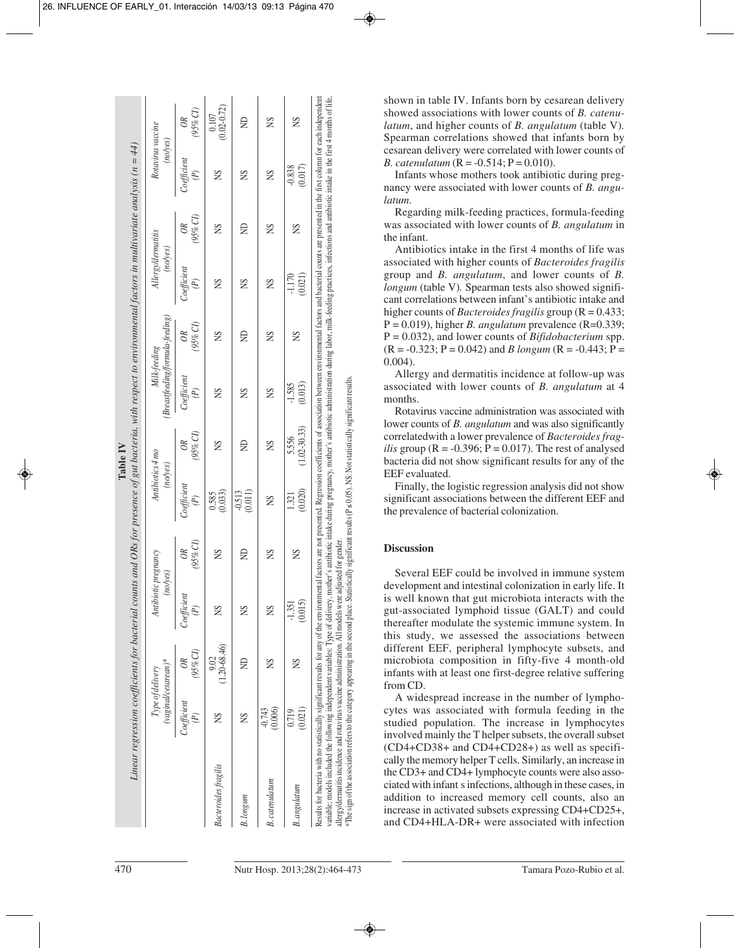|                                                                                                                                                                       |                                                 | $(95\%$ CI)<br>$\overline{OR}$                    | $\frac{0.107}{(0.02 - 0.72)}$                       | $\trianglerighteq$    | SN                    | SN                        | shown in table IV. Infants born by cesarean delivery<br>showed associations with lower counts of B. catenu-<br>latum, and higher counts of B. angulatum (table V).<br>Spearman correlations showed that infants born by                                                                                                                                                                                                                                                                                                                                                                                                                                                                                                                                                                                            |
|-----------------------------------------------------------------------------------------------------------------------------------------------------------------------|-------------------------------------------------|---------------------------------------------------|-----------------------------------------------------|-----------------------|-----------------------|---------------------------|--------------------------------------------------------------------------------------------------------------------------------------------------------------------------------------------------------------------------------------------------------------------------------------------------------------------------------------------------------------------------------------------------------------------------------------------------------------------------------------------------------------------------------------------------------------------------------------------------------------------------------------------------------------------------------------------------------------------------------------------------------------------------------------------------------------------|
|                                                                                                                                                                       | Rotavirus vaccine<br>(noyes)                    | Coefficient<br>$(\mathbb{P})$                     | S                                                   | SN                    | SN                    | (0.017)<br>$-0.838$       | cesarean delivery were correlated with lower counts of<br><i>B. catenulatum</i> ( $R = -0.514$ ; $P = 0.010$ ).<br>Infants whose mothers took antibiotic during preg-<br>nancy were associated with lower counts of B. angu-                                                                                                                                                                                                                                                                                                                                                                                                                                                                                                                                                                                       |
|                                                                                                                                                                       |                                                 | (95% CI)<br>$\infty$                              | SN                                                  | $\trianglerighteq$    | SN                    | SN                        | latum.<br>Regarding milk-feeding practices, formula-feeding<br>was associated with lower counts of B. angulatum in<br>the infant.<br>Antibiotics intake in the first 4 months of life was                                                                                                                                                                                                                                                                                                                                                                                                                                                                                                                                                                                                                          |
|                                                                                                                                                                       | Allergy/dermatitis<br>(noyes)                   | $\begin{array}{c} Coefficient \\ (P) \end{array}$ | SN                                                  | SN                    | SN                    | (0.021)<br>$-1.170$       | associated with higher counts of Bacteroides fragilis<br>group and B. angulatum, and lower counts of B.<br>longum (table V). Spearman tests also showed signifi-<br>cant correlations between infant's antibiotic intake and                                                                                                                                                                                                                                                                                                                                                                                                                                                                                                                                                                                       |
|                                                                                                                                                                       |                                                 | (95% CI)<br>$O$ R                                 | SN                                                  | $\trianglerighteq$    | SN                    | SN                        | higher counts of <i>Bacteroides fragilis</i> group ( $R = 0.433$ )<br>$P = 0.019$ ), higher <i>B. angulatum</i> prevalence (R=0.339;<br>$P = 0.032$ , and lower counts of <i>Bifidobacterium</i> spp.<br>$(R = -0.323; P = 0.042)$ and <i>B longum</i> $(R = -0.443; P =$                                                                                                                                                                                                                                                                                                                                                                                                                                                                                                                                          |
|                                                                                                                                                                       | (Breastfeeding/formula-feeding)<br>Milk-feeding | $\begin{array}{c} Coefficient \\ (P) \end{array}$ | SN                                                  | SN                    | SN                    | (0.013)<br>$-1.585$       | $0.004$ ).<br>Allergy and dermatitis incidence at follow-up was<br>associated with lower counts of <i>B. angulatum</i> at 4<br>months.<br>Rotavirus vaccine administration was associated with                                                                                                                                                                                                                                                                                                                                                                                                                                                                                                                                                                                                                     |
| Table IV                                                                                                                                                              |                                                 | $(95\%$ CI)<br>$\overline{OR}$                    | SN                                                  | $\trianglerighteq$    | SN                    | $(1.02 - 30.33)$<br>5.556 | tistically significant results (P ≤ 0,05). NS: Not statistically significant results.<br>lower counts of <i>B. angulatum</i> and was also significantly<br>correlated with a lower prevalence of Bacteroides frag-<br><i>ilis</i> group ( $R = -0.396$ ; $P = 0.017$ ). The rest of analysed<br>bacteria did not show significant results for any of the                                                                                                                                                                                                                                                                                                                                                                                                                                                           |
|                                                                                                                                                                       | Antibiotics 4 mo<br>(noyes)                     | Coefficient<br>$\bigl(\mathbb{P}\bigr)$           | $\frac{0.585}{(0.033)}$                             | $-0.513$<br>$(0.011)$ | SN                    | (0.020)<br>1.321          | EEF evaluated.<br>Finally, the logistic regression analysis did not show<br>significant associations between the different EEF and<br>the prevalence of bacterial colonization.                                                                                                                                                                                                                                                                                                                                                                                                                                                                                                                                                                                                                                    |
|                                                                                                                                                                       |                                                 | (95% CI)<br>$\infty$                              | SN                                                  | $\trianglerighteq$    | SN                    | SN                        | adjusted for gender.<br><b>Discussion</b>                                                                                                                                                                                                                                                                                                                                                                                                                                                                                                                                                                                                                                                                                                                                                                          |
| Linear regression coefficients for bacterial counts and ORs for presence of gut bacteria, with respect to environmental factors in multivariate analysis ( $n = 44$ ) | Antibiotic pregnancy<br>no/yes)                 | Coefficient<br>$(\mathbb{P})$                     | SN                                                  | S                     | SN                    | (0.015)<br>$-1.351$       | Several EEF could be involved in immune system<br>development and intestinal colonization in early life. It<br>is well known that gut microbiota interacts with the<br>gut-associated lymphoid tissue (GALT) and could<br>thereafter modulate the systemic immune system. In<br>this study, we assessed the associations between                                                                                                                                                                                                                                                                                                                                                                                                                                                                                   |
|                                                                                                                                                                       |                                                 | $(95\% CI)$<br>$\overline{OR}$                    | $\begin{array}{c} 9.02 \\ (1.20-68.46) \end{array}$ | $\epsilon$            | SN                    | SN                        | different EEF, peripheral lymphocyte subsets, and<br>microbiota composition in fifty-five 4 month-old<br>infants with at least one first-degree relative suffering<br>from CD.                                                                                                                                                                                                                                                                                                                                                                                                                                                                                                                                                                                                                                     |
|                                                                                                                                                                       | $(vaginal descarean)*$<br>Type of delivery      | $\begin{array}{c} Coefficient \\ (P) \end{array}$ | SN                                                  | SN                    | $-0.743$<br>$(0.006)$ | $(0.719)$<br>$(0.021)$    | A widespread increase in the number of lympho-<br>cytes was associated with formula feeding in the<br>studied population. The increase in lymphocytes<br>involved mainly the T helper subsets, the overall subset                                                                                                                                                                                                                                                                                                                                                                                                                                                                                                                                                                                                  |
|                                                                                                                                                                       |                                                 |                                                   | <b>Bacteroides</b> fragilis                         | $B.$ $longum$         | <b>B</b> .catenulatum | <b>B.</b> angulatum       | variable, models included the following independent variables: Type of delivery, mother's antibiotic intake during pregnancy, mother's antibiotic administration during labor, milk-feeding practices, infections and antibiot<br>*The sign of the association refers to the category appearing in the second place. Sta<br>allergy/dermatitis incidence and rotavirus vaccine administration. All models were<br>(CD4+CD38+ and CD4+CD28+) as well as specifi-<br>cally the memory helper T cells. Similarly, an increase in<br>the CD3+ and CD4+ lymphocyte counts were also asso-<br>ciated with infant s infections, although in these cases, in<br>addition to increased memory cell counts, also an<br>increase in activated subsets expressing CD4+CD25+.<br>and CD4+HLA-DR+ were associated with infection |
| 470                                                                                                                                                                   |                                                 |                                                   |                                                     |                       |                       |                           | Nutr Hosp. 2013;28(2):464-473<br>Tamara Pozo-Rubio et al.                                                                                                                                                                                                                                                                                                                                                                                                                                                                                                                                                                                                                                                                                                                                                          |

#### **Discussion**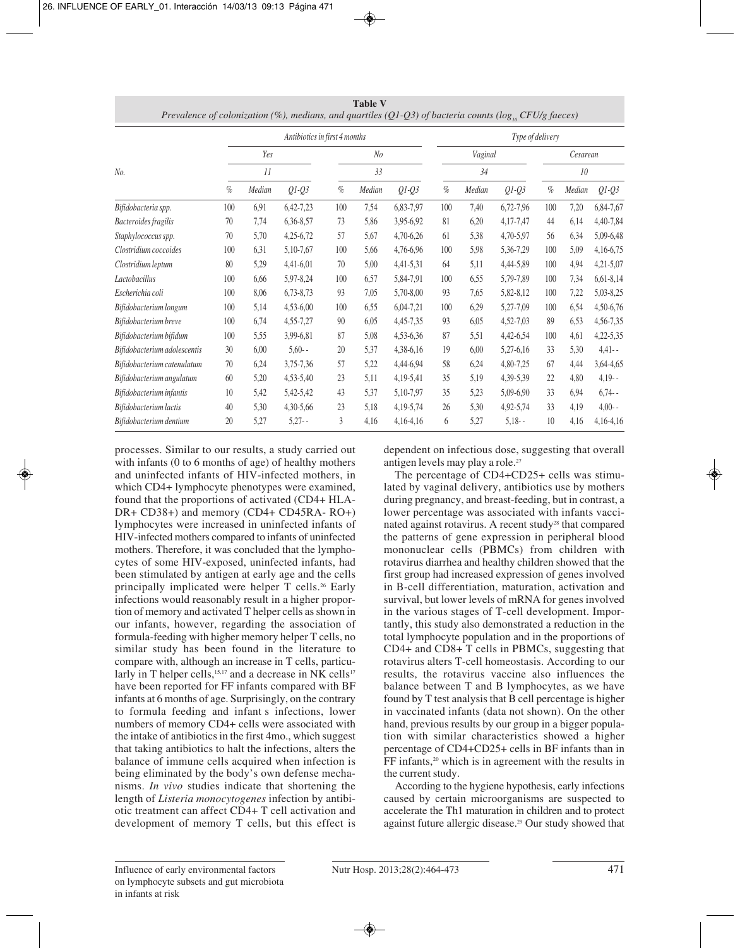|                              |      | Antibiotics in first 4 months |             |      |        |             |      |         | Type of delivery |          |        |             |  |  |
|------------------------------|------|-------------------------------|-------------|------|--------|-------------|------|---------|------------------|----------|--------|-------------|--|--|
| Yes                          |      |                               |             | No   |        |             |      | Vaginal |                  | Cesarean |        |             |  |  |
| No.                          |      | II                            |             |      | 33     |             |      | 34      |                  |          | 10     |             |  |  |
|                              | $\%$ | Median                        | $Q1-Q3$     | $\%$ | Median | $Q1-Q3$     | $\%$ | Median  | $Q1-Q3$          | $\%$     | Median | $Q1-Q3$     |  |  |
| Bifidobacteria spp.          | 100  | 6,91                          | 6,42-7,23   | 100  | 7,54   | 6,83-7,97   | 100  | 7,40    | 6,72-7,96        | 100      | 7,20   | 6,84-7,67   |  |  |
| Bacteroides fragilis         | 70   | 7,74                          | 6,36-8,57   | 73   | 5,86   | 3,95-6,92   | 81   | 6,20    | 4,17-7,47        | 44       | 6,14   | 4,40-7,84   |  |  |
| Staphylococcus spp.          | 70   | 5,70                          | $4,25-6,72$ | 57   | 5,67   | 4,70-6,26   | 61   | 5,38    | 4,70-5,97        | 56       | 6,34   | 5,09-6,48   |  |  |
| Clostridium coccoides        | 100  | 6,31                          | 5,10-7,67   | 100  | 5,66   | 4,76-6,96   | 100  | 5,98    | 5,36-7,29        | 100      | 5,09   | 4,16-6,75   |  |  |
| Clostridium leptum           | 80   | 5,29                          | $4,41-6,01$ | 70   | 5,00   | 4,41-5,31   | 64   | 5,11    | 4,44-5,89        | 100      | 4,94   | $4,21-5,07$ |  |  |
| Lactobacillus                | 100  | 6,66                          | 5,97-8,24   | 100  | 6,57   | 5,84-7,91   | 100  | 6,55    | 5,79-7,89        | 100      | 7,34   | $6,61-8,14$ |  |  |
| Escherichia coli             | 100  | 8,06                          | 6,73-8,73   | 93   | 7,05   | 5,70-8,00   | 93   | 7,65    | 5,82-8,12        | 100      | 7,22   | 5,03-8,25   |  |  |
| Bifidobacterium longum       | 100  | 5,14                          | $4,53-6,00$ | 100  | 6,55   | $6,04-7,21$ | 100  | 6,29    | 5,27-7,09        | 100      | 6,54   | 4,50-6,76   |  |  |
| Bifidobacterium breve        | 100  | 6,74                          | 4,55-7,27   | 90   | 6,05   | 4,45-7,35   | 93   | 6,05    | 4,52-7,03        | 89       | 6,53   | 4,56-7,35   |  |  |
| Bifidobacterium bifidum      | 100  | 5,55                          | 3,99-6,81   | 87   | 5,08   | 4,53-6,36   | 87   | 5,51    | 4,42-6,54        | 100      | 4,61   | 4,22-5,35   |  |  |
| Bifidobacterium adolescentis | 30   | 6,00                          | $5,60-$     | 20   | 5,37   | 4,38-6,16   | 19   | 6,00    | 5,27-6,16        | 33       | 5,30   | $4,41-$     |  |  |
| Bifidobacterium catenulatum  | 70   | 6,24                          | 3,75-7,36   | 57   | 5,22   | 4,44-6,94   | 58   | 6,24    | 4,80-7,25        | 67       | 4,44   | 3,64-4,65   |  |  |
| Bifidobacterium angulatum    | 60   | 5,20                          | 4,53-5,40   | 23   | 5,11   | 4,19-5,41   | 35   | 5,19    | 4,39-5,39        | 22       | 4,80   | $4,19-$     |  |  |
| Bifidobacterium infantis     | 10   | 5,42                          | 5,42-5,42   | 43   | 5,37   | 5,10-7,97   | 35   | 5,23    | 5,09-6,90        | 33       | 6,94   | $6,74-$     |  |  |
| Bifidobacterium lactis       | 40   | 5,30                          | 4,30-5,66   | 23   | 5,18   | 4,19-5,74   | 26   | 5,30    | 4,92-5,74        | 33       | 4,19   | $4,00-$     |  |  |
| Bifidobacterium dentium      | 20   | 5,27                          | $5,27 -$    | 3    | 4,16   | $4,16-4,16$ | 6    | 5,27    | $5,18-$          | 10       | 4,16   | $4,16-4,16$ |  |  |

**Table V** *Prevalence of colonization (%), medians, and quartiles (O1-O3) of bacteria counts (log., CFU/g faeces)* 

processes. Similar to our results, a study carried out with infants (0 to 6 months of age) of healthy mothers and uninfected infants of HIV-infected mothers, in which CD4+ lymphocyte phenotypes were examined, found that the proportions of activated (CD4+ HLA-DR+ CD38+) and memory (CD4+ CD45RA- RO+) lymphocytes were increased in uninfected infants of HIV-infected mothers compared to infants of uninfected mothers. Therefore, it was concluded that the lymphocytes of some HIV-exposed, uninfected infants, had been stimulated by antigen at early age and the cells principally implicated were helper T cells.<sup>26</sup> Early infections would reasonably result in a higher proportion of memory and activated T helper cells as shown in our infants, however, regarding the association of formula-feeding with higher memory helper T cells, no similar study has been found in the literature to compare with, although an increase in T cells, particularly in T helper cells,<sup>15,17</sup> and a decrease in NK cells<sup>17</sup> have been reported for FF infants compared with BF infants at 6 months of age. Surprisingly, on the contrary to formula feeding and infant s infections, lower numbers of memory CD4+ cells were associated with the intake of antibiotics in the first 4mo., which suggest that taking antibiotics to halt the infections, alters the balance of immune cells acquired when infection is being eliminated by the body's own defense mechanisms. *In vivo* studies indicate that shortening the length of *Listeria monocytogenes* infection by antibiotic treatment can affect CD4+ T cell activation and development of memory T cells, but this effect is

dependent on infectious dose, suggesting that overall antigen levels may play a role.27

The percentage of CD4+CD25+ cells was stimulated by vaginal delivery, antibiotics use by mothers during pregnancy, and breast-feeding, but in contrast, a lower percentage was associated with infants vaccinated against rotavirus. A recent study28 that compared the patterns of gene expression in peripheral blood mononuclear cells (PBMCs) from children with rotavirus diarrhea and healthy children showed that the first group had increased expression of genes involved in B-cell differentiation, maturation, activation and survival, but lower levels of mRNA for genes involved in the various stages of T-cell development. Importantly, this study also demonstrated a reduction in the total lymphocyte population and in the proportions of CD4+ and CD8+ T cells in PBMCs, suggesting that rotavirus alters T-cell homeostasis. According to our results, the rotavirus vaccine also influences the balance between T and B lymphocytes, as we have found by T test analysis that B cell percentage is higher in vaccinated infants (data not shown). On the other hand, previous results by our group in a bigger population with similar characteristics showed a higher percentage of CD4+CD25+ cells in BF infants than in FF infants,<sup>20</sup> which is in agreement with the results in the current study.

According to the hygiene hypothesis, early infections caused by certain microorganisms are suspected to accelerate the Th1 maturation in children and to protect against future allergic disease.29 Our study showed that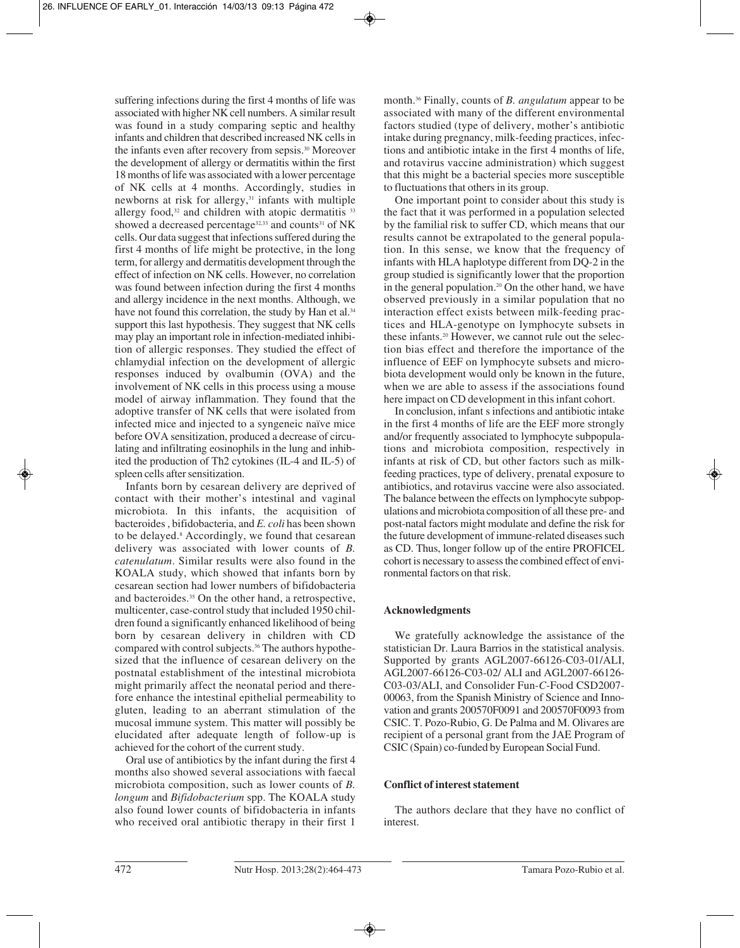suffering infections during the first 4 months of life was associated with higher NK cell numbers. A similar result was found in a study comparing septic and healthy infants and children that described increased NK cells in the infants even after recovery from sepsis.30 Moreover the development of allergy or dermatitis within the first 18 months of life was associated with a lower percentage of NK cells at 4 months. Accordingly, studies in newborns at risk for allergy, $31$  infants with multiple allergy food, $32$  and children with atopic dermatitis  $33$ showed a decreased percentage<sup>32,33</sup> and counts<sup>31</sup> of NK cells. Our data suggest that infections suffered during the first 4 months of life might be protective, in the long term, for allergy and dermatitis development through the effect of infection on NK cells. However, no correlation was found between infection during the first 4 months and allergy incidence in the next months. Although, we have not found this correlation, the study by Han et al.<sup>34</sup> support this last hypothesis. They suggest that NK cells may play an important role in infection-mediated inhibition of allergic responses. They studied the effect of chlamydial infection on the development of allergic responses induced by ovalbumin (OVA) and the involvement of NK cells in this process using a mouse model of airway inflammation. They found that the adoptive transfer of NK cells that were isolated from infected mice and injected to a syngeneic naïve mice before OVA sensitization, produced a decrease of circulating and infiltrating eosinophils in the lung and inhibited the production of Th2 cytokines (IL-4 and IL-5) of spleen cells after sensitization.

Infants born by cesarean delivery are deprived of contact with their mother's intestinal and vaginal microbiota. In this infants, the acquisition of bacteroides , bifidobacteria, and *E. coli* has been shown to be delayed.<sup>8</sup> Accordingly, we found that cesarean delivery was associated with lower counts of *B. catenulatum*. Similar results were also found in the KOALA study, which showed that infants born by cesarean section had lower numbers of bifidobacteria and bacteroides.35 On the other hand, a retrospective, multicenter, case-control study that included 1950 children found a significantly enhanced likelihood of being born by cesarean delivery in children with CD compared with control subjects.36 The authors hypothesized that the influence of cesarean delivery on the postnatal establishment of the intestinal microbiota might primarily affect the neonatal period and therefore enhance the intestinal epithelial permeability to gluten, leading to an aberrant stimulation of the mucosal immune system. This matter will possibly be elucidated after adequate length of follow-up is achieved for the cohort of the current study.

Oral use of antibiotics by the infant during the first 4 months also showed several associations with faecal microbiota composition, such as lower counts of *B. longum* and *Bifidobacterium* spp. The KOALA study also found lower counts of bifidobacteria in infants who received oral antibiotic therapy in their first 1

month.36 Finally, counts of *B. angulatum* appear to be associated with many of the different environmental factors studied (type of delivery, mother's antibiotic intake during pregnancy, milk-feeding practices, infections and antibiotic intake in the first 4 months of life, and rotavirus vaccine administration) which suggest that this might be a bacterial species more susceptible to fluctuations that others in its group.

One important point to consider about this study is the fact that it was performed in a population selected by the familial risk to suffer CD, which means that our results cannot be extrapolated to the general population. In this sense, we know that the frequency of infants with HLA haplotype different from DQ-2 in the group studied is significantly lower that the proportion in the general population.<sup>20</sup> On the other hand, we have observed previously in a similar population that no interaction effect exists between milk-feeding practices and HLA-genotype on lymphocyte subsets in these infants.20 However, we cannot rule out the selection bias effect and therefore the importance of the influence of EEF on lymphocyte subsets and microbiota development would only be known in the future, when we are able to assess if the associations found here impact on CD development in this infant cohort.

In conclusion, infant s infections and antibiotic intake in the first 4 months of life are the EEF more strongly and/or frequently associated to lymphocyte subpopulations and microbiota composition, respectively in infants at risk of CD, but other factors such as milkfeeding practices, type of delivery, prenatal exposure to antibiotics, and rotavirus vaccine were also associated. The balance between the effects on lymphocyte subpopulations and microbiota composition of all these pre- and post-natal factors might modulate and define the risk for the future development of immune-related diseases such as CD. Thus, longer follow up of the entire PROFICEL cohort is necessary to assess the combined effect of environmental factors on that risk.

# **Acknowledgments**

We gratefully acknowledge the assistance of the statistician Dr. Laura Barrios in the statistical analysis. Supported by grants AGL2007-66126-C03-01/ALI, AGL2007-66126-C03-02/ ALI and AGL2007-66126- C03-03/ALI, and Consolider Fun-*C*-Food CSD2007- 00063, from the Spanish Ministry of Science and Innovation and grants 200570F0091 and 200570F0093 from CSIC. T. Pozo-Rubio, G. De Palma and M. Olivares are recipient of a personal grant from the JAE Program of CSIC (Spain) co-funded by European Social Fund.

# **Conflict of interest statement**

The authors declare that they have no conflict of interest.